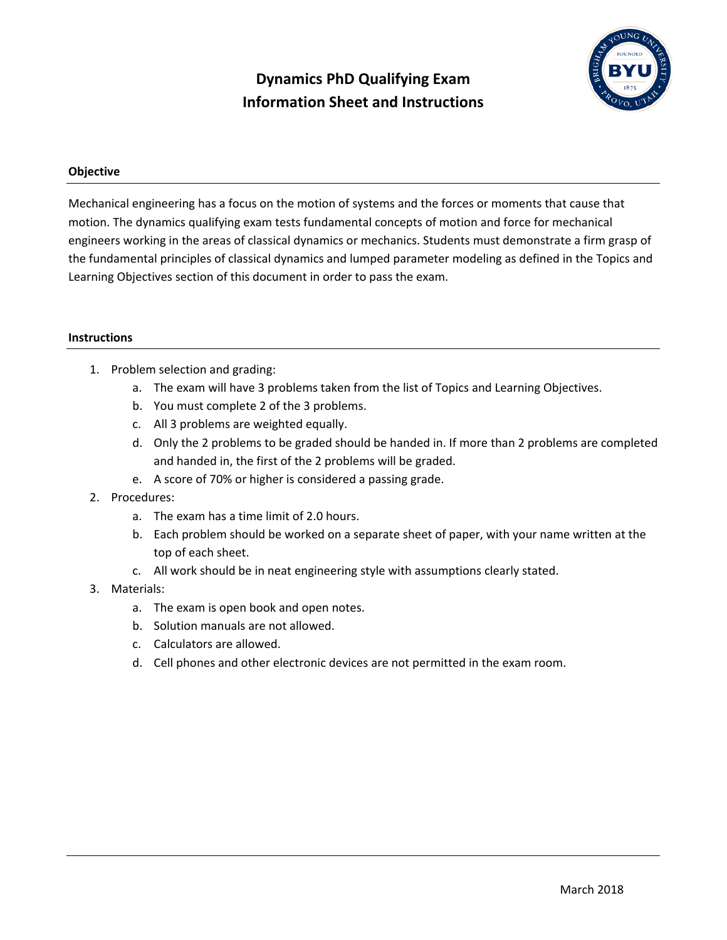# **Dynamics PhD Qualifying Exam Information Sheet and Instructions**



## **Objective**

Mechanical engineering has a focus on the motion of systems and the forces or moments that cause that motion. The dynamics qualifying exam tests fundamental concepts of motion and force for mechanical engineers working in the areas of classical dynamics or mechanics. Students must demonstrate a firm grasp of the fundamental principles of classical dynamics and lumped parameter modeling as defined in the Topics and Learning Objectives section of this document in order to pass the exam.

#### **Instructions**

- 1. Problem selection and grading:
	- a. The exam will have 3 problems taken from the list of Topics and Learning Objectives.
	- b. You must complete 2 of the 3 problems.
	- c. All 3 problems are weighted equally.
	- d. Only the 2 problems to be graded should be handed in. If more than 2 problems are completed and handed in, the first of the 2 problems will be graded.
	- e. A score of 70% or higher is considered a passing grade.

## 2. Procedures:

- a. The exam has a time limit of 2.0 hours.
- b. Each problem should be worked on a separate sheet of paper, with your name written at the top of each sheet.
- c. All work should be in neat engineering style with assumptions clearly stated.

## 3. Materials:

- a. The exam is open book and open notes.
- b. Solution manuals are not allowed.
- c. Calculators are allowed.
- d. Cell phones and other electronic devices are not permitted in the exam room.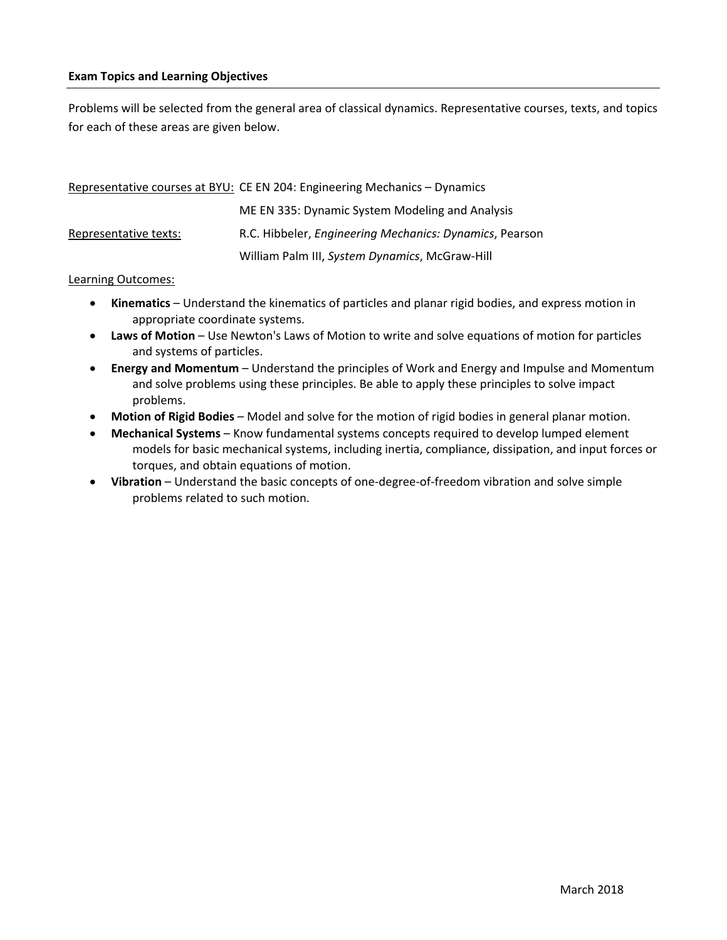Problems will be selected from the general area of classical dynamics. Representative courses, texts, and topics for each of these areas are given below.

|                       | Representative courses at BYU: CE EN 204: Engineering Mechanics - Dynamics |
|-----------------------|----------------------------------------------------------------------------|
|                       | ME EN 335: Dynamic System Modeling and Analysis                            |
| Representative texts: | R.C. Hibbeler, Engineering Mechanics: Dynamics, Pearson                    |
|                       | William Palm III, System Dynamics, McGraw-Hill                             |

#### Learning Outcomes:

- **Kinematics** Understand the kinematics of particles and planar rigid bodies, and express motion in appropriate coordinate systems.
- **Laws of Motion** Use Newton's Laws of Motion to write and solve equations of motion for particles and systems of particles.
- **Energy and Momentum** Understand the principles of Work and Energy and Impulse and Momentum and solve problems using these principles. Be able to apply these principles to solve impact problems.
- **Motion of Rigid Bodies** Model and solve for the motion of rigid bodies in general planar motion.
- **Mechanical Systems** Know fundamental systems concepts required to develop lumped element models for basic mechanical systems, including inertia, compliance, dissipation, and input forces or torques, and obtain equations of motion.
- **Vibration** Understand the basic concepts of one-degree-of-freedom vibration and solve simple problems related to such motion.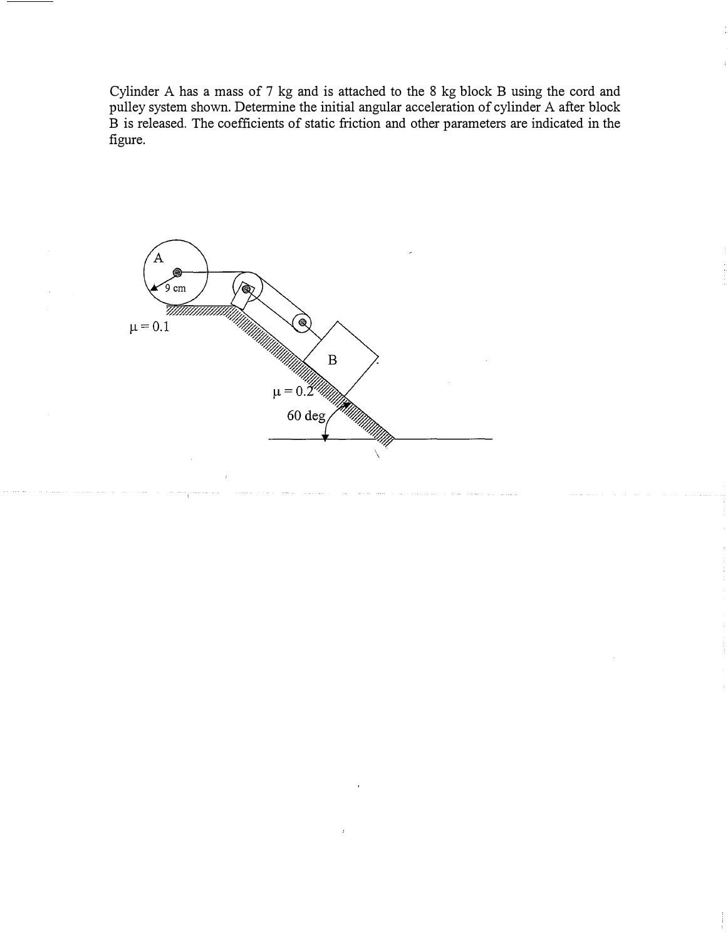Cylinder A has a mass of 7 kg and is attached to the 8 kg block B using the cord and pulley system shown. Determine the initial angular acceleration of cylinder A after block B is released. The coefficients of static friction and other parameters are indicated in the figure.

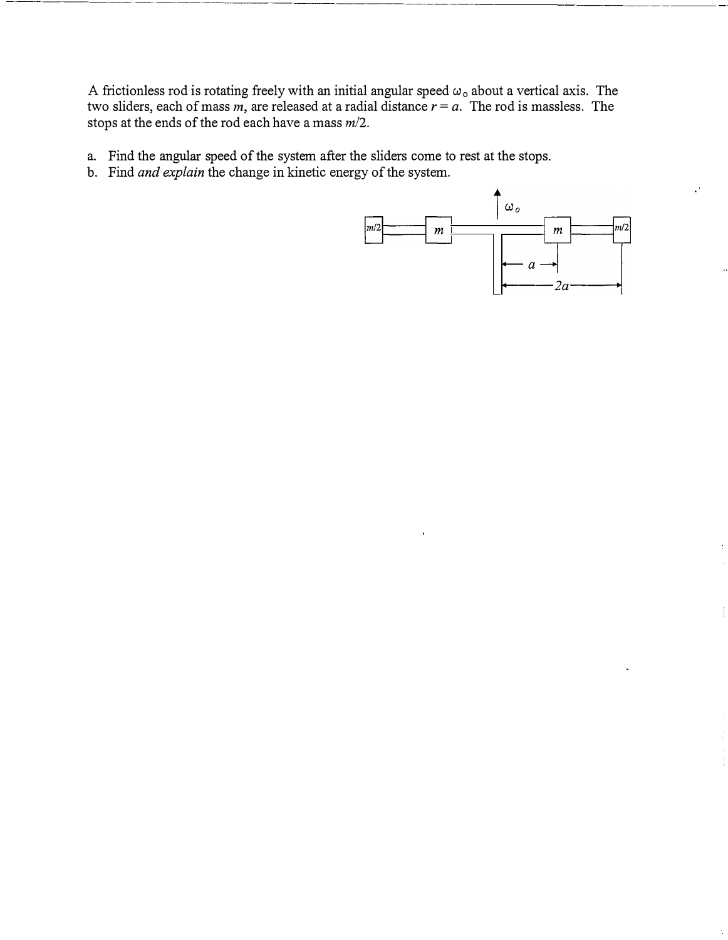A frictionless rod is rotating freely with an initial angular speed  $\omega_0$  about a vertical axis. The two sliders, each of mass  $m$ , are released at a radial distance  $r = a$ . The rod is massless. The stops at the ends of the rod each have a mass *m/2.* 

- a. Find the angular speed of the system after the sliders come to rest at the stops.
- b. Find *and explain* the change in kinetic energy of the system.

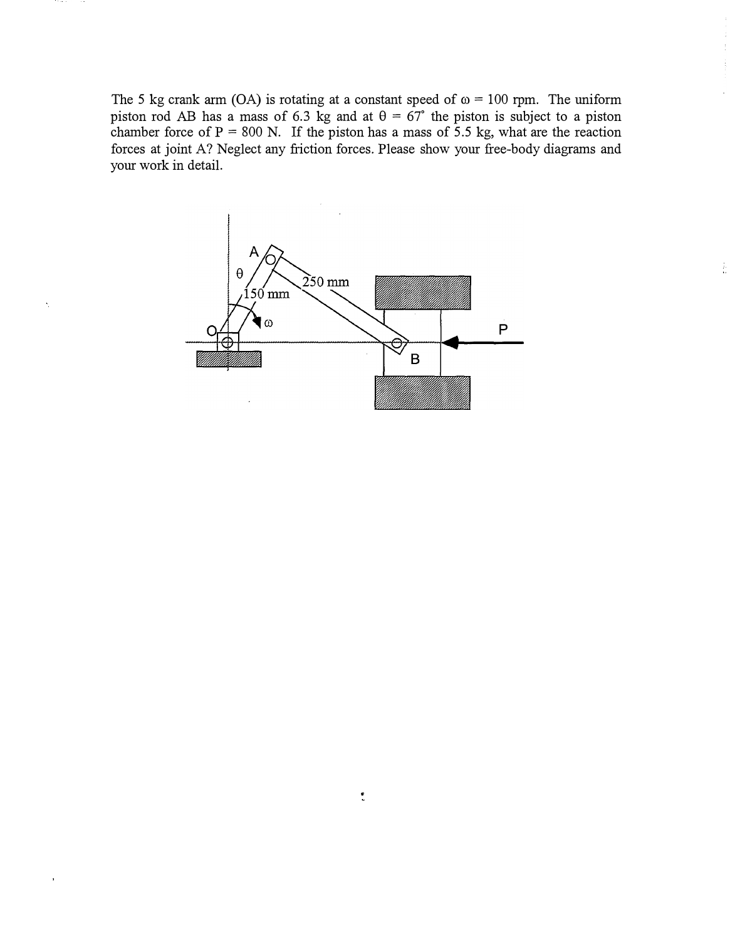The 5 kg crank arm (OA) is rotating at a constant speed of  $\omega = 100$  rpm. The uniform piston rod AB has a mass of 6.3 kg and at  $\theta = 67^\circ$  the piston is subject to a piston chamber force of  $P = 800$  N. If the piston has a mass of 5.5 kg, what are the reaction forces at joint A? Neglect any friction forces. Please show your free-body diagrams and your work in detail.

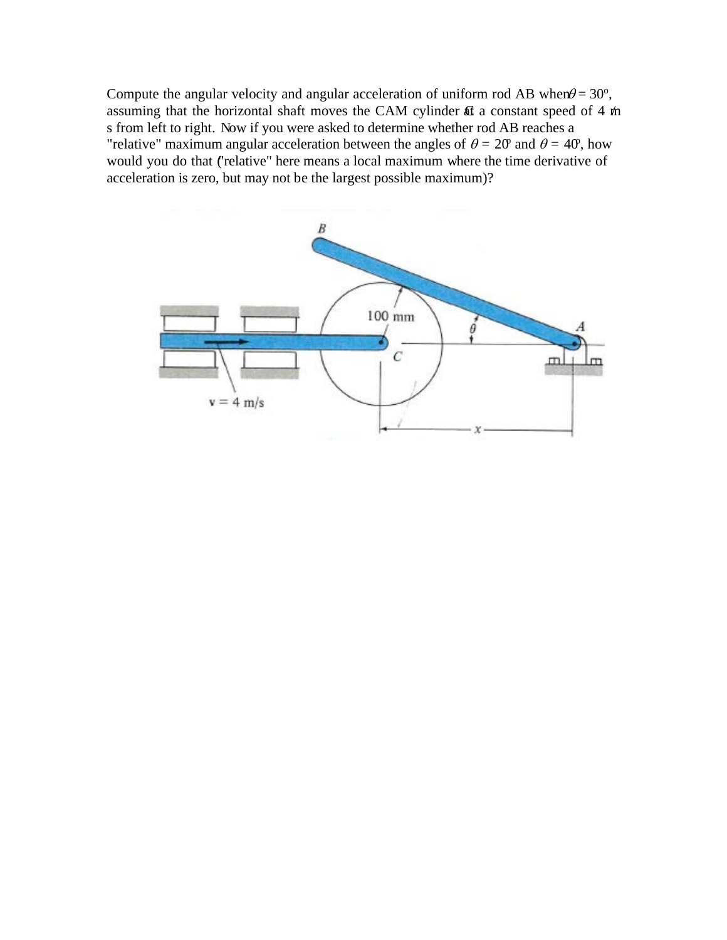Compute the angular velocity and angular acceleration of uniform rod AB when  $\theta = 30^{\circ}$ , assuming that the horizontal shaft moves the CAM cylinder  $\mathfrak{A}$  a constant speed of 4 m s from left to right. Now if you were asked to determine whether rod AB reaches a "relative" maximum angular acceleration between the angles of  $\theta = 20^{\circ}$  and  $\theta = 40^{\circ}$ , how would you do that ("relative" here means a local maximum where the time derivative of acceleration is zero, but may not be the largest possible maximum)?

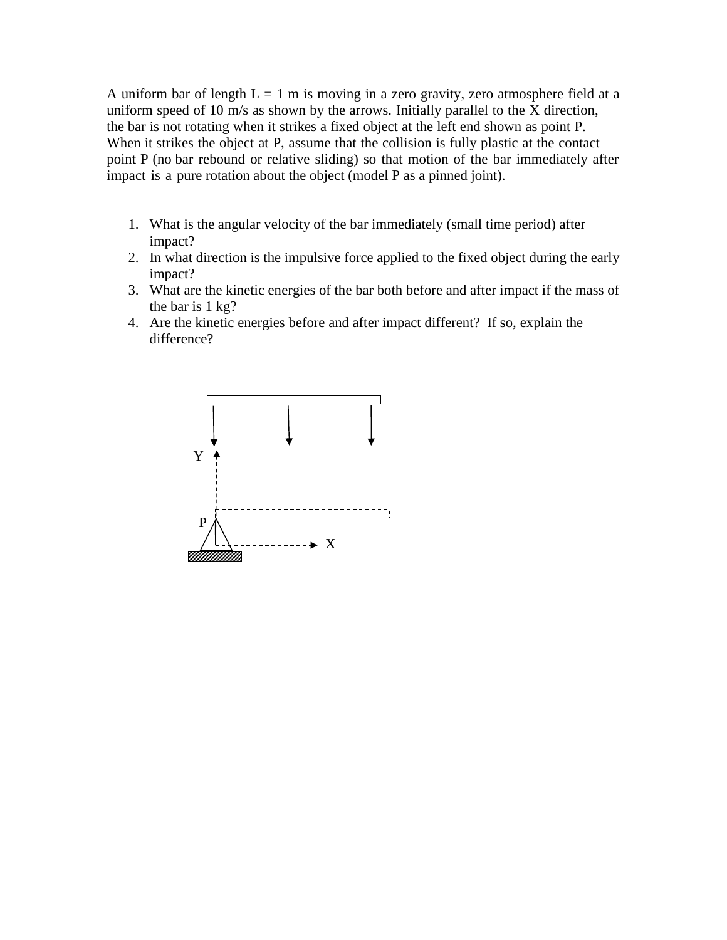A uniform bar of length  $L = 1$  m is moving in a zero gravity, zero atmosphere field at a uniform speed of 10 m/s as shown by the arrows. Initially parallel to the X direction, the bar is not rotating when it strikes a fixed object at the left end shown as point P. When it strikes the object at P, assume that the collision is fully plastic at the contact point P (no bar rebound or relative sliding) so that motion of the bar immediately after impact is a pure rotation about the object (model P as a pinned joint).

- 1. What is the angular velocity of the bar immediately (small time period) after impact?
- 2. In what direction is the impulsive force applied to the fixed object during the early impact?
- 3. What are the kinetic energies of the bar both before and after impact if the mass of the bar is 1 kg?
- 4. Are the kinetic energies before and after impact different? If so, explain the difference?

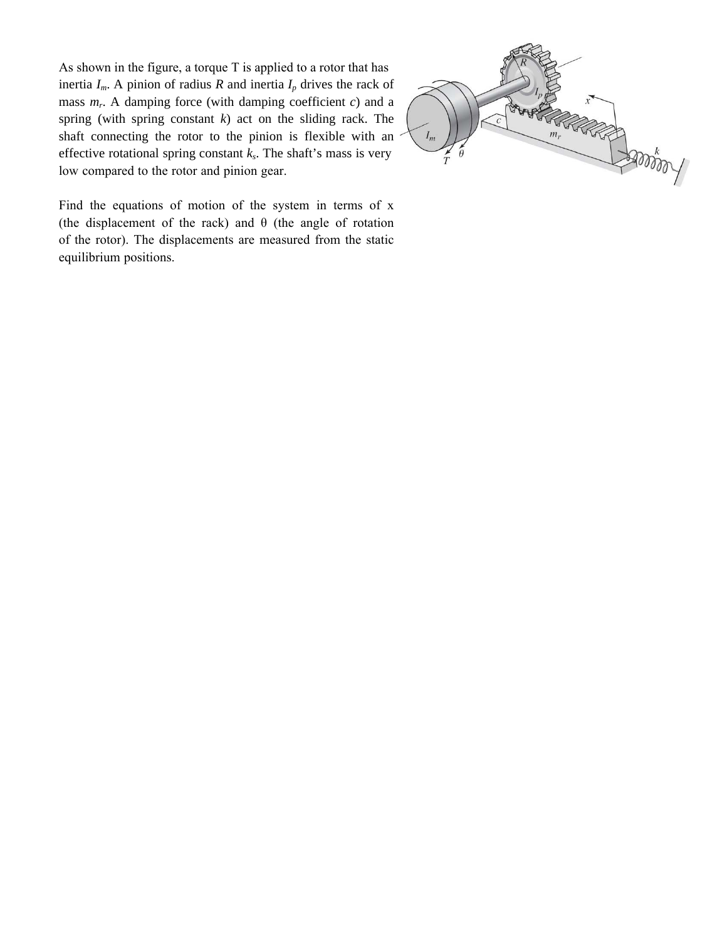As shown in the figure, a torque T is applied to a rotor that has inertia  $I_m$ . A pinion of radius *R* and inertia  $I_p$  drives the rack of mass *m<sup>r</sup>* . A damping force (with damping coefficient *c*) and a spring (with spring constant *k*) act on the sliding rack. The shaft connecting the rotor to the pinion is flexible with an effective rotational spring constant *k<sup>s</sup>* . The shaft's mass is very low compared to the rotor and pinion gear.



Find the equations of motion of the system in terms of x (the displacement of the rack) and  $\theta$  (the angle of rotation of the rotor). The displacements are measured from the static equilibrium positions.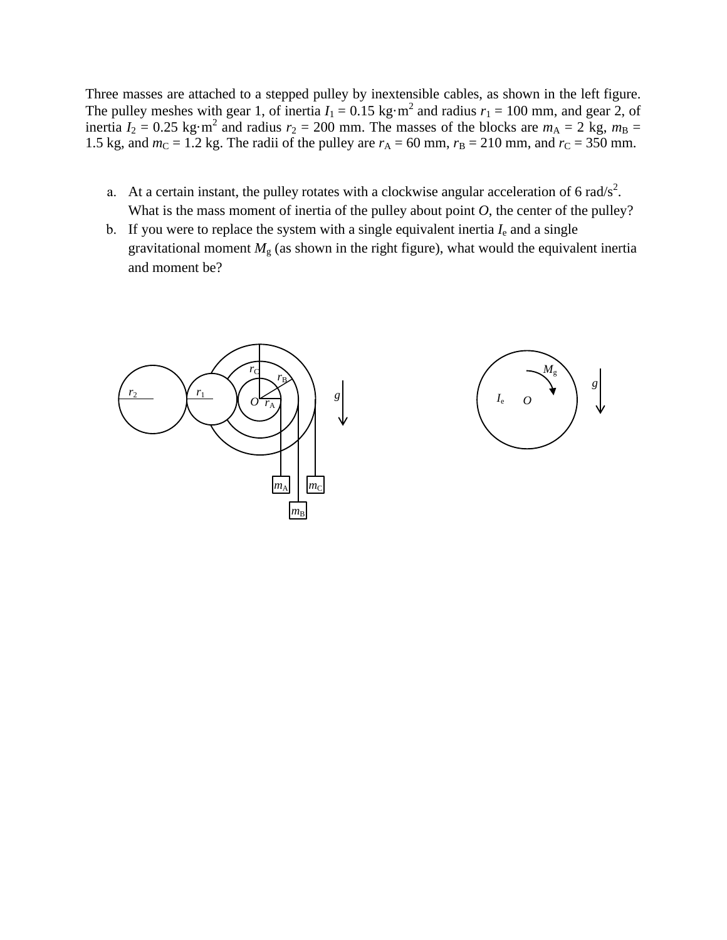Three masses are attached to a stepped pulley by inextensible cables, as shown in the left figure. The pulley meshes with gear 1, of inertia  $I_1 = 0.15 \text{ kg} \cdot \text{m}^2$  and radius  $r_1 = 100 \text{ mm}$ , and gear 2, of inertia  $I_2 = 0.25$  kg·m<sup>2</sup> and radius  $r_2 = 200$  mm. The masses of the blocks are  $m_A = 2$  kg,  $m_B =$ 1.5 kg, and  $m<sub>C</sub> = 1.2$  kg. The radii of the pulley are  $r<sub>A</sub> = 60$  mm,  $r<sub>B</sub> = 210$  mm, and  $r<sub>C</sub> = 350$  mm.

- a. At a certain instant, the pulley rotates with a clockwise angular acceleration of 6 rad/s<sup>2</sup>. What is the mass moment of inertia of the pulley about point *O*, the center of the pulley?
- b. If you were to replace the system with a single equivalent inertia  $I<sub>e</sub>$  and a single gravitational moment  $M<sub>g</sub>$  (as shown in the right figure), what would the equivalent inertia and moment be?



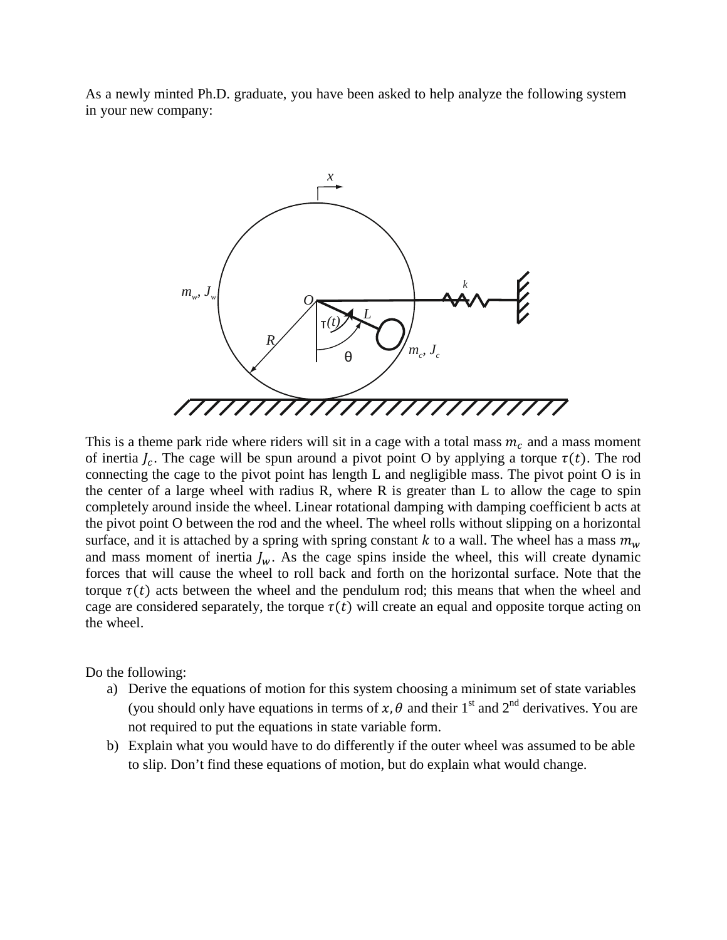As a newly minted Ph.D. graduate, you have been asked to help analyze the following system in your new company:



This is a theme park ride where riders will sit in a cage with a total mass  $m_c$  and a mass moment of inertia  $I_c$ . The cage will be spun around a pivot point O by applying a torque  $\tau(t)$ . The rod connecting the cage to the pivot point has length L and negligible mass. The pivot point O is in the center of a large wheel with radius R, where R is greater than L to allow the cage to spin completely around inside the wheel. Linear rotational damping with damping coefficient b acts at the pivot point O between the rod and the wheel. The wheel rolls without slipping on a horizontal surface, and it is attached by a spring with spring constant  $k$  to a wall. The wheel has a mass  $m_w$ and mass moment of inertia  $I_w$ . As the cage spins inside the wheel, this will create dynamic forces that will cause the wheel to roll back and forth on the horizontal surface. Note that the torque  $\tau(t)$  acts between the wheel and the pendulum rod; this means that when the wheel and cage are considered separately, the torque  $\tau(t)$  will create an equal and opposite torque acting on the wheel.

Do the following:

- a) Derive the equations of motion for this system choosing a minimum set of state variables (you should only have equations in terms of  $x$ ,  $\theta$  and their 1<sup>st</sup> and 2<sup>nd</sup> derivatives. You are not required to put the equations in state variable form.
- b) Explain what you would have to do differently if the outer wheel was assumed to be able to slip. Don't find these equations of motion, but do explain what would change.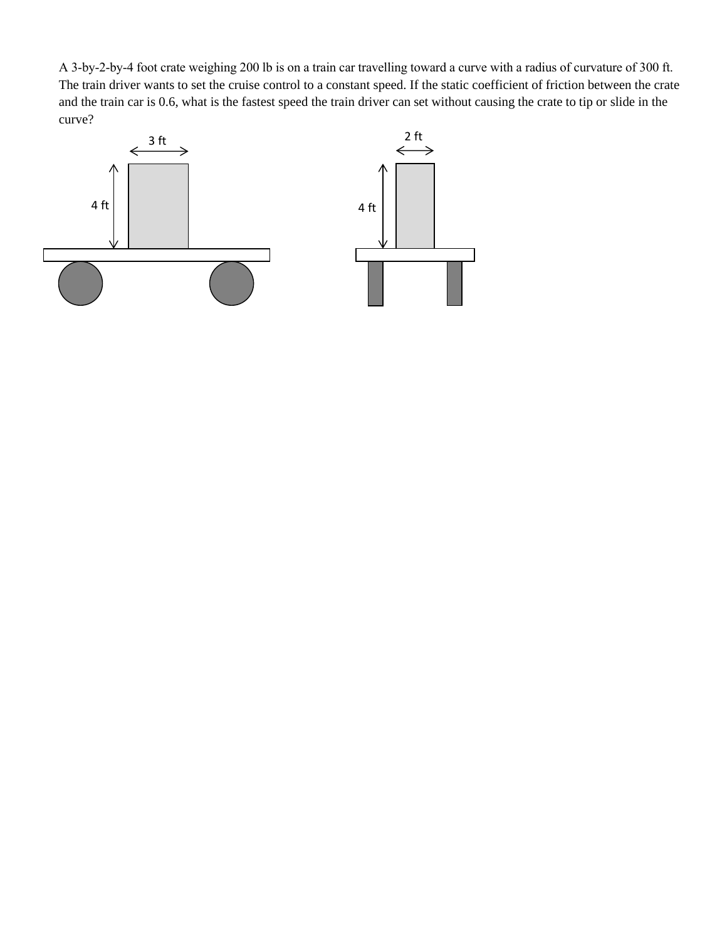A 3-by-2-by-4 foot crate weighing 200 lb is on a train car travelling toward a curve with a radius of curvature of 300 ft. The train driver wants to set the cruise control to a constant speed. If the static coefficient of friction between the crate and the train car is 0.6, what is the fastest speed the train driver can set without causing the crate to tip or slide in the curve?

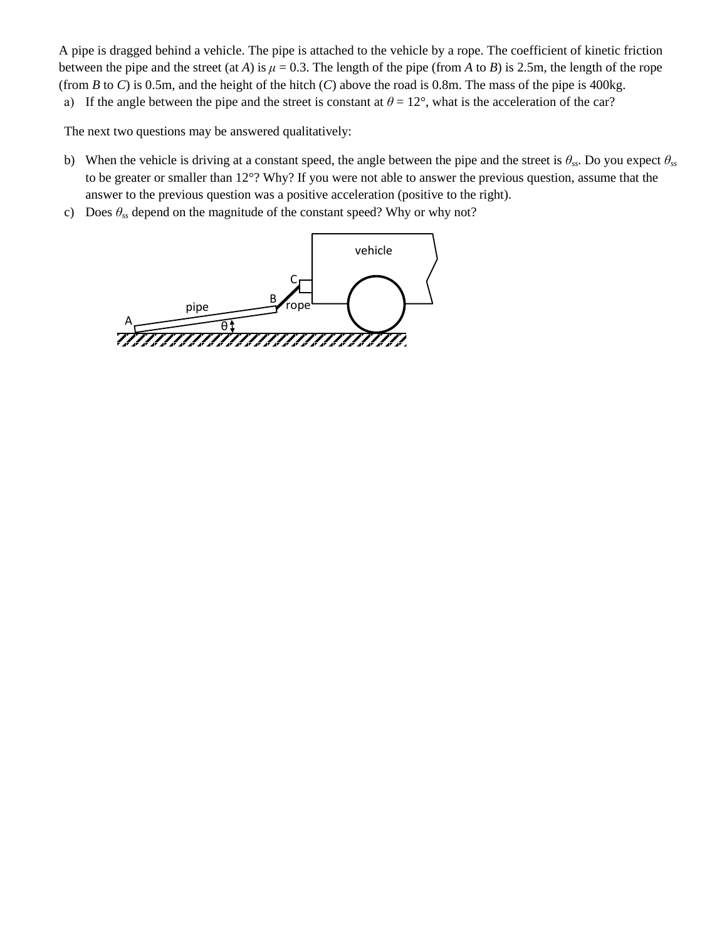3. A pipe is dragged behind a vehicle. The pipe is attached to the vehicle by a rope. The coefficient of kinetic friction between the pipe and the street (at *A*) is  $\mu = 0.3$ . The length of the pipe (from *A* to *B*) is 2.5m, the length of the rope (from *B* to *C*) is 0.5m, and the height of the hitch (*C*) above the road is 0.8m. The mass of the pipe is 400kg.

a) If the angle between the pipe and the street is constant at  $\theta = 12^{\circ}$ , what is the acceleration of the car?

The next two questions may be answered qualitatively:

- b) When the vehicle is driving at a constant speed, the angle between the pipe and the street is  $\theta_{ss}$ . Do you expect  $\theta_{ss}$ to be greater or smaller than 12°? Why? If you were not able to answer the previous question, assume that the answer to the previous question was a positive acceleration (positive to the right).
- c) Does  $\theta_{ss}$  depend on the magnitude of the constant speed? Why or why not?

B C rope  $A \longrightarrow \theta$ pipe vehicle